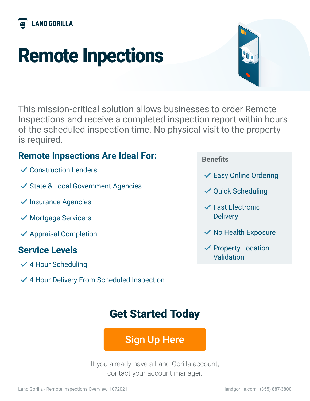

# Remote Inpections



This mission-critical solution allows businesses to order Remote Inspections and receive a completed inspection report within hours of the scheduled inspection time. No physical visit to the property is required.

## **Remote Inpsections Are Ideal For:**

- $\vee$  Construction Lenders
- $\checkmark$  State & Local Government Agencies
- $\checkmark$  Insurance Agencies
- $\checkmark$  Mortgage Servicers
- $\checkmark$  Appraisal Completion

## **Service Levels**

- $\checkmark$  4 Hour Scheduling
- $\checkmark$  4 Hour Delivery From Scheduled Inspection

#### **Benefits**

- $\checkmark$  Easy Online Ordering
- $\checkmark$  Quick Scheduling
- $\checkmark$  Fast Electronic **Delivery**
- $\checkmark$  No Health Exposure
- $\checkmark$  Property Location Validation

# Get Started Today

# [Sign Up Here](https://fintech.landgorilla.com/remote-inspections)

If you already have a Land Gorilla account, contact your account manager.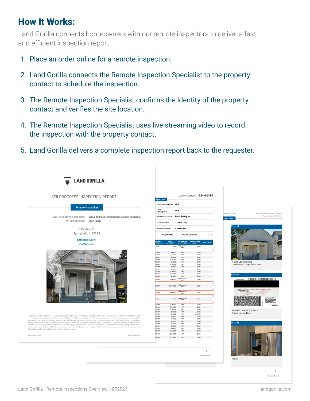## How It Works:

Land Gorilla connects homeowners with our remote inspectors to deliver a fast and efficient inspection report.

- 1. Place an order online for a remote inspection.
- 2. Land Gorilla connects the Remote Inspection Specialist to the property contact to schedule the inspection.
- 3. The Remote Inspection Specialist confirms the identity of the property contact and verifies the site location.
- 4. The Remote Inspection Specialist uses live streaming video to record the inspection with the property contact.
- 5. Land Gorilla delivers a complete inspection report back to the requester.

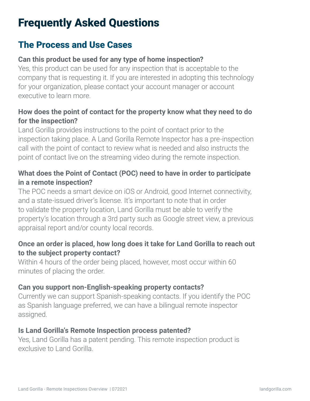# Frequently Asked Questions

### The Process and Use Cases

#### **Can this product be used for any type of home inspection?**

Yes, this product can be used for any inspection that is acceptable to the company that is requesting it. If you are interested in adopting this technology for your organization, please contact your account manager or account executive to learn more.

#### **How does the point of contact for the property know what they need to do for the inspection?**

Land Gorilla provides instructions to the point of contact prior to the inspection taking place. A Land Gorilla Remote Inspector has a pre-inspection call with the point of contact to review what is needed and also instructs the point of contact live on the streaming video during the remote inspection.

#### **What does the Point of Contact (POC) need to have in order to participate in a remote inspection?**

The POC needs a smart device on iOS or Android, good Internet connectivity, and a state-issued driver's license. It's important to note that in order to validate the property location, Land Gorilla must be able to verify the property's location through a 3rd party such as Google street view, a previous appraisal report and/or county local records.

#### **Once an order is placed, how long does it take for Land Gorilla to reach out to the subject property contact?**

Within 4 hours of the order being placed, however, most occur within 60 minutes of placing the order.

#### **Can you support non-English-speaking property contacts?**

Currently we can support Spanish-speaking contacts. If you identify the POC as Spanish language preferred, we can have a bilingual remote inspector assigned.

#### **Is Land Gorilla's Remote Inspection process patented?**

Yes, Land Gorilla has a patent pending. This remote inspection product is exclusive to Land Gorilla.